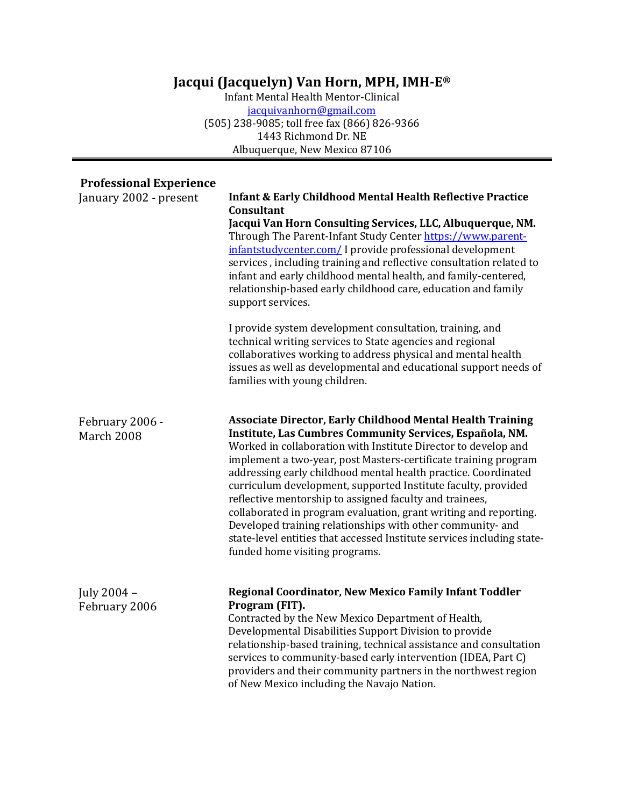## Jacqui (Jacquelyn) Van Horn, MPH, IMH-E<sup>®</sup>

Infant Mental Health Mentor-Clinical jacquivanhorn@gmail.com (505) 238-9085; toll free fax (866) 826-9366 1443 Richmond Dr. NE Albuquerque, New Mexico 87106

## **Professional Experience**

| January 2002 - present        | <b>Infant &amp; Early Childhood Mental Health Reflective Practice</b><br>Consultant                                                                                                                                                                                                                                                                                                                                                                                                                                                                                                                                                                                                                            |
|-------------------------------|----------------------------------------------------------------------------------------------------------------------------------------------------------------------------------------------------------------------------------------------------------------------------------------------------------------------------------------------------------------------------------------------------------------------------------------------------------------------------------------------------------------------------------------------------------------------------------------------------------------------------------------------------------------------------------------------------------------|
|                               | Jacqui Van Horn Consulting Services, LLC, Albuquerque, NM.<br>Through The Parent-Infant Study Center https://www.parent-<br>infantstudycenter.com/ I provide professional development<br>services, including training and reflective consultation related to<br>infant and early childhood mental health, and family-centered,<br>relationship-based early childhood care, education and family<br>support services.                                                                                                                                                                                                                                                                                           |
|                               | I provide system development consultation, training, and<br>technical writing services to State agencies and regional<br>collaboratives working to address physical and mental health<br>issues as well as developmental and educational support needs of<br>families with young children.                                                                                                                                                                                                                                                                                                                                                                                                                     |
| February 2006 -<br>March 2008 | <b>Associate Director, Early Childhood Mental Health Training</b><br>Institute, Las Cumbres Community Services, Española, NM.<br>Worked in collaboration with Institute Director to develop and<br>implement a two-year, post Masters-certificate training program<br>addressing early childhood mental health practice. Coordinated<br>curriculum development, supported Institute faculty, provided<br>reflective mentorship to assigned faculty and trainees,<br>collaborated in program evaluation, grant writing and reporting.<br>Developed training relationships with other community- and<br>state-level entities that accessed Institute services including state-<br>funded home visiting programs. |
| July 2004 -<br>February 2006  | Regional Coordinator, New Mexico Family Infant Toddler<br>Program (FIT).<br>Contracted by the New Mexico Department of Health,<br>Developmental Disabilities Support Division to provide<br>relationship-based training, technical assistance and consultation<br>services to community-based early intervention (IDEA, Part C)<br>providers and their community partners in the northwest region<br>of New Mexico including the Navajo Nation.                                                                                                                                                                                                                                                                |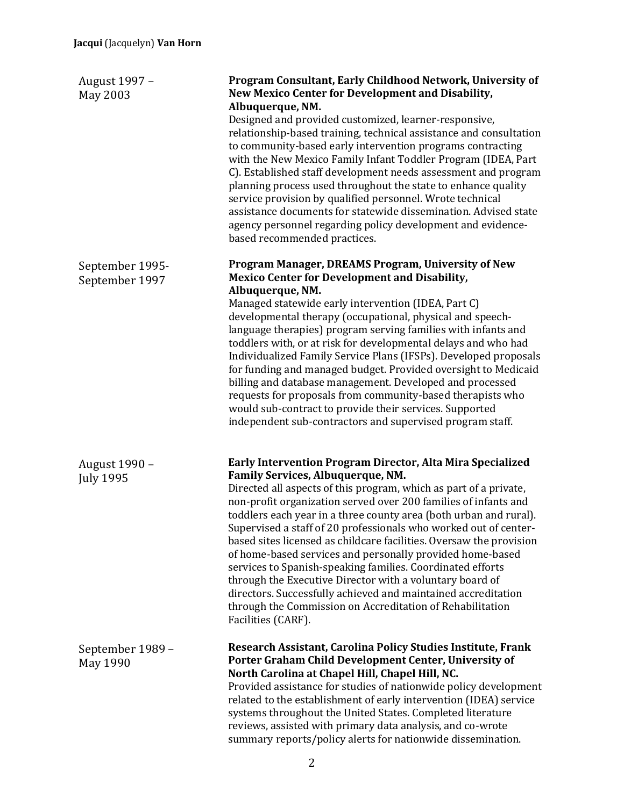| August 1997 -<br>May 2003         | Program Consultant, Early Childhood Network, University of<br>New Mexico Center for Development and Disability,<br>Albuquerque, NM.<br>Designed and provided customized, learner-responsive,<br>relationship-based training, technical assistance and consultation<br>to community-based early intervention programs contracting<br>with the New Mexico Family Infant Toddler Program (IDEA, Part<br>C). Established staff development needs assessment and program<br>planning process used throughout the state to enhance quality<br>service provision by qualified personnel. Wrote technical<br>assistance documents for statewide dissemination. Advised state<br>agency personnel regarding policy development and evidence-<br>based recommended practices.                                |
|-----------------------------------|----------------------------------------------------------------------------------------------------------------------------------------------------------------------------------------------------------------------------------------------------------------------------------------------------------------------------------------------------------------------------------------------------------------------------------------------------------------------------------------------------------------------------------------------------------------------------------------------------------------------------------------------------------------------------------------------------------------------------------------------------------------------------------------------------|
| September 1995-<br>September 1997 | Program Manager, DREAMS Program, University of New<br><b>Mexico Center for Development and Disability,</b><br>Albuquerque, NM.<br>Managed statewide early intervention (IDEA, Part C)<br>developmental therapy (occupational, physical and speech-<br>language therapies) program serving families with infants and<br>toddlers with, or at risk for developmental delays and who had<br>Individualized Family Service Plans (IFSPs). Developed proposals<br>for funding and managed budget. Provided oversight to Medicaid<br>billing and database management. Developed and processed<br>requests for proposals from community-based therapists who<br>would sub-contract to provide their services. Supported<br>independent sub-contractors and supervised program staff.                      |
| August 1990 -<br><b>July 1995</b> | Early Intervention Program Director, Alta Mira Specialized<br>Family Services, Albuquerque, NM.<br>Directed all aspects of this program, which as part of a private,<br>non-profit organization served over 200 families of infants and<br>toddlers each year in a three county area (both urban and rural).<br>Supervised a staff of 20 professionals who worked out of center-<br>based sites licensed as childcare facilities. Oversaw the provision<br>of home-based services and personally provided home-based<br>services to Spanish-speaking families. Coordinated efforts<br>through the Executive Director with a voluntary board of<br>directors. Successfully achieved and maintained accreditation<br>through the Commission on Accreditation of Rehabilitation<br>Facilities (CARF). |
| September 1989 -<br>May 1990      | Research Assistant, Carolina Policy Studies Institute, Frank<br>Porter Graham Child Development Center, University of<br>North Carolina at Chapel Hill, Chapel Hill, NC.<br>Provided assistance for studies of nationwide policy development<br>related to the establishment of early intervention (IDEA) service<br>systems throughout the United States. Completed literature<br>reviews, assisted with primary data analysis, and co-wrote<br>summary reports/policy alerts for nationwide dissemination.                                                                                                                                                                                                                                                                                       |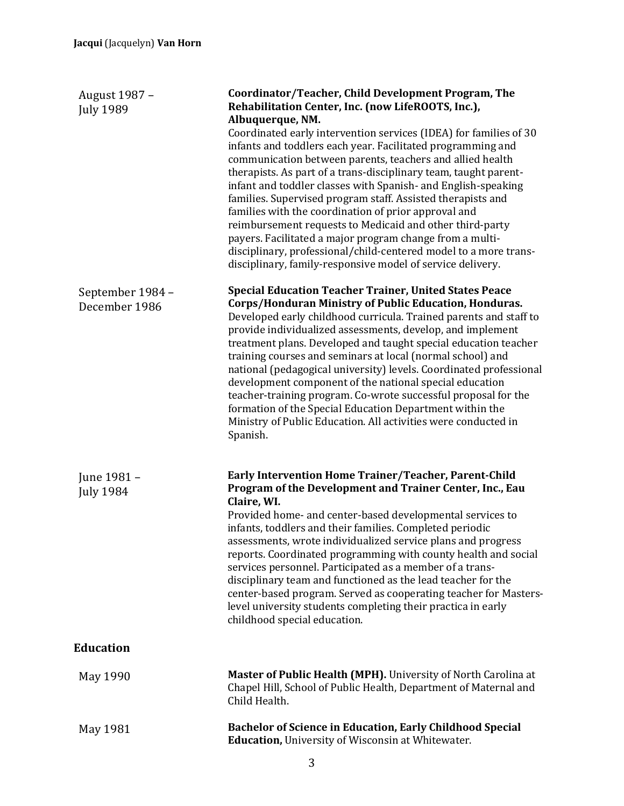| August 1987 -<br><b>July 1989</b> | Coordinator/Teacher, Child Development Program, The<br>Rehabilitation Center, Inc. (now LifeROOTS, Inc.),<br>Albuquerque, NM.                                                                                                                                                                                                                                                                                                                                                                                                                                                                                                                                                                                                            |
|-----------------------------------|------------------------------------------------------------------------------------------------------------------------------------------------------------------------------------------------------------------------------------------------------------------------------------------------------------------------------------------------------------------------------------------------------------------------------------------------------------------------------------------------------------------------------------------------------------------------------------------------------------------------------------------------------------------------------------------------------------------------------------------|
|                                   | Coordinated early intervention services (IDEA) for families of 30<br>infants and toddlers each year. Facilitated programming and<br>communication between parents, teachers and allied health<br>therapists. As part of a trans-disciplinary team, taught parent-<br>infant and toddler classes with Spanish- and English-speaking<br>families. Supervised program staff. Assisted therapists and<br>families with the coordination of prior approval and<br>reimbursement requests to Medicaid and other third-party<br>payers. Facilitated a major program change from a multi-<br>disciplinary, professional/child-centered model to a more trans-<br>disciplinary, family-responsive model of service delivery.                      |
| September 1984 -<br>December 1986 | <b>Special Education Teacher Trainer, United States Peace</b><br>Corps/Honduran Ministry of Public Education, Honduras.<br>Developed early childhood curricula. Trained parents and staff to<br>provide individualized assessments, develop, and implement<br>treatment plans. Developed and taught special education teacher<br>training courses and seminars at local (normal school) and<br>national (pedagogical university) levels. Coordinated professional<br>development component of the national special education<br>teacher-training program. Co-wrote successful proposal for the<br>formation of the Special Education Department within the<br>Ministry of Public Education. All activities were conducted in<br>Spanish. |
| June 1981 -<br><b>July 1984</b>   | Early Intervention Home Trainer/Teacher, Parent-Child<br>Program of the Development and Trainer Center, Inc., Eau<br>Claire, WI.<br>Provided home- and center-based developmental services to<br>infants, toddlers and their families. Completed periodic<br>assessments, wrote individualized service plans and progress<br>reports. Coordinated programming with county health and social<br>services personnel. Participated as a member of a trans-<br>disciplinary team and functioned as the lead teacher for the<br>center-based program. Served as cooperating teacher for Masters-<br>level university students completing their practica in early<br>childhood special education.                                              |
| <b>Education</b>                  |                                                                                                                                                                                                                                                                                                                                                                                                                                                                                                                                                                                                                                                                                                                                          |
| May 1990                          | <b>Master of Public Health (MPH).</b> University of North Carolina at<br>Chapel Hill, School of Public Health, Department of Maternal and<br>Child Health.                                                                                                                                                                                                                                                                                                                                                                                                                                                                                                                                                                               |
| May 1981                          | <b>Bachelor of Science in Education, Early Childhood Special</b><br>Education, University of Wisconsin at Whitewater.                                                                                                                                                                                                                                                                                                                                                                                                                                                                                                                                                                                                                    |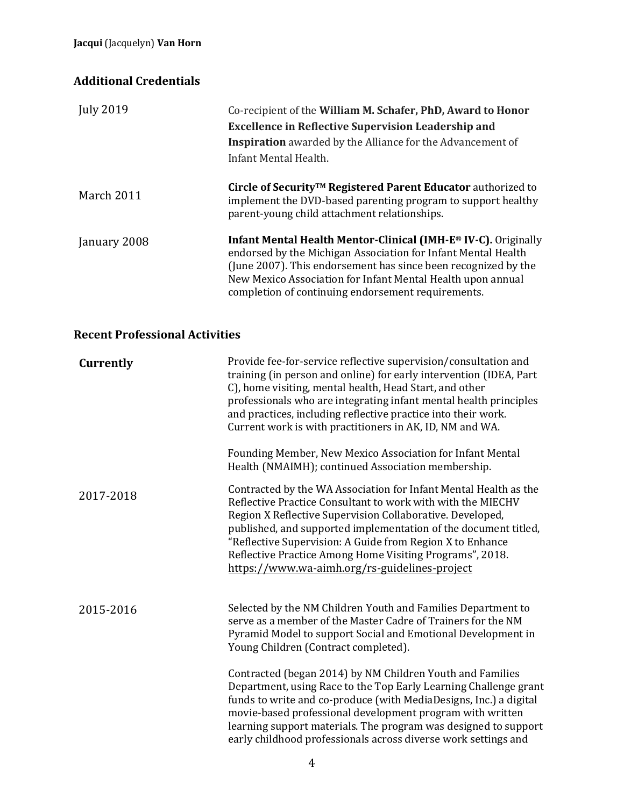## **Additional Credentials**

| <b>July 2019</b> | Co-recipient of the William M. Schafer, PhD, Award to Honor<br><b>Excellence in Reflective Supervision Leadership and</b><br>Inspiration awarded by the Alliance for the Advancement of<br>Infant Mental Health.                                                                                                       |
|------------------|------------------------------------------------------------------------------------------------------------------------------------------------------------------------------------------------------------------------------------------------------------------------------------------------------------------------|
| March 2011       | Circle of Security <sup>™</sup> Registered Parent Educator authorized to<br>implement the DVD-based parenting program to support healthy<br>parent-young child attachment relationships.                                                                                                                               |
| January 2008     | Infant Mental Health Mentor-Clinical (IMH-E® IV-C). Originally<br>endorsed by the Michigan Association for Infant Mental Health<br>(June 2007). This endorsement has since been recognized by the<br>New Mexico Association for Infant Mental Health upon annual<br>completion of continuing endorsement requirements. |

## **Recent Professional Activities**

| Currently | Provide fee-for-service reflective supervision/consultation and<br>training (in person and online) for early intervention (IDEA, Part<br>C), home visiting, mental health, Head Start, and other<br>professionals who are integrating infant mental health principles<br>and practices, including reflective practice into their work.<br>Current work is with practitioners in AK, ID, NM and WA.<br>Founding Member, New Mexico Association for Infant Mental<br>Health (NMAIMH); continued Association membership. |
|-----------|-----------------------------------------------------------------------------------------------------------------------------------------------------------------------------------------------------------------------------------------------------------------------------------------------------------------------------------------------------------------------------------------------------------------------------------------------------------------------------------------------------------------------|
| 2017-2018 | Contracted by the WA Association for Infant Mental Health as the<br>Reflective Practice Consultant to work with with the MIECHV<br>Region X Reflective Supervision Collaborative. Developed,<br>published, and supported implementation of the document titled,<br>"Reflective Supervision: A Guide from Region X to Enhance<br>Reflective Practice Among Home Visiting Programs", 2018.<br>https://www.wa-aimh.org/rs-guidelines-project                                                                             |
| 2015-2016 | Selected by the NM Children Youth and Families Department to<br>serve as a member of the Master Cadre of Trainers for the NM<br>Pyramid Model to support Social and Emotional Development in<br>Young Children (Contract completed).                                                                                                                                                                                                                                                                                  |
|           | Contracted (began 2014) by NM Children Youth and Families<br>Department, using Race to the Top Early Learning Challenge grant<br>funds to write and co-produce (with MediaDesigns, Inc.) a digital<br>movie-based professional development program with written<br>learning support materials. The program was designed to support<br>early childhood professionals across diverse work settings and                                                                                                                  |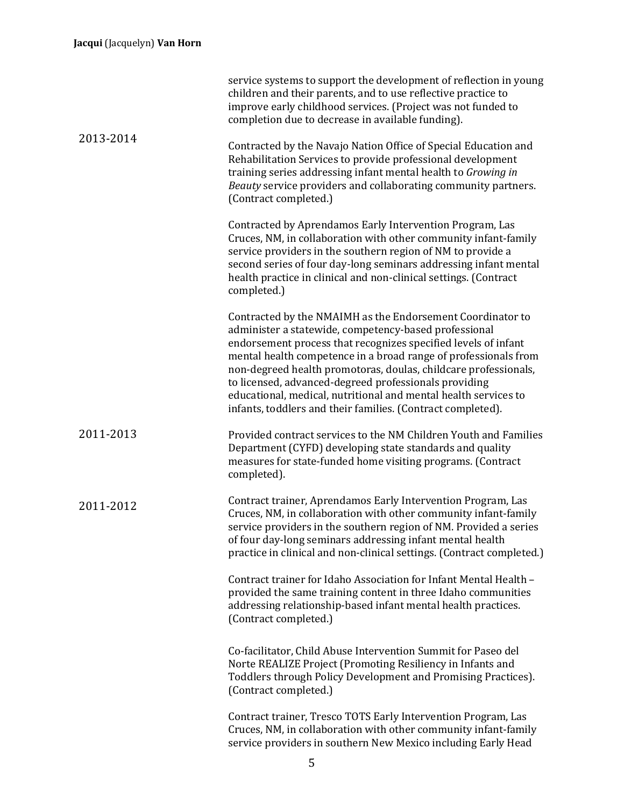|           | service systems to support the development of reflection in young<br>children and their parents, and to use reflective practice to<br>improve early childhood services. (Project was not funded to<br>completion due to decrease in available funding).                                                                                                                                                                                                                                                                |
|-----------|------------------------------------------------------------------------------------------------------------------------------------------------------------------------------------------------------------------------------------------------------------------------------------------------------------------------------------------------------------------------------------------------------------------------------------------------------------------------------------------------------------------------|
| 2013-2014 | Contracted by the Navajo Nation Office of Special Education and<br>Rehabilitation Services to provide professional development<br>training series addressing infant mental health to Growing in<br>Beauty service providers and collaborating community partners.<br>(Contract completed.)                                                                                                                                                                                                                             |
|           | Contracted by Aprendamos Early Intervention Program, Las<br>Cruces, NM, in collaboration with other community infant-family<br>service providers in the southern region of NM to provide a<br>second series of four day-long seminars addressing infant mental<br>health practice in clinical and non-clinical settings. (Contract<br>completed.)                                                                                                                                                                      |
|           | Contracted by the NMAIMH as the Endorsement Coordinator to<br>administer a statewide, competency-based professional<br>endorsement process that recognizes specified levels of infant<br>mental health competence in a broad range of professionals from<br>non-degreed health promotoras, doulas, childcare professionals,<br>to licensed, advanced-degreed professionals providing<br>educational, medical, nutritional and mental health services to<br>infants, toddlers and their families. (Contract completed). |
| 2011-2013 | Provided contract services to the NM Children Youth and Families<br>Department (CYFD) developing state standards and quality<br>measures for state-funded home visiting programs. (Contract<br>completed).                                                                                                                                                                                                                                                                                                             |
| 2011-2012 | Contract trainer, Aprendamos Early Intervention Program, Las<br>Cruces, NM, in collaboration with other community infant-family<br>service providers in the southern region of NM. Provided a series<br>of four day-long seminars addressing infant mental health<br>practice in clinical and non-clinical settings. (Contract completed.)                                                                                                                                                                             |
|           | Contract trainer for Idaho Association for Infant Mental Health -<br>provided the same training content in three Idaho communities<br>addressing relationship-based infant mental health practices.<br>(Contract completed.)                                                                                                                                                                                                                                                                                           |
|           | Co-facilitator, Child Abuse Intervention Summit for Paseo del<br>Norte REALIZE Project (Promoting Resiliency in Infants and<br>Toddlers through Policy Development and Promising Practices).<br>(Contract completed.)                                                                                                                                                                                                                                                                                                  |
|           | Contract trainer, Tresco TOTS Early Intervention Program, Las<br>Cruces, NM, in collaboration with other community infant-family<br>service providers in southern New Mexico including Early Head                                                                                                                                                                                                                                                                                                                      |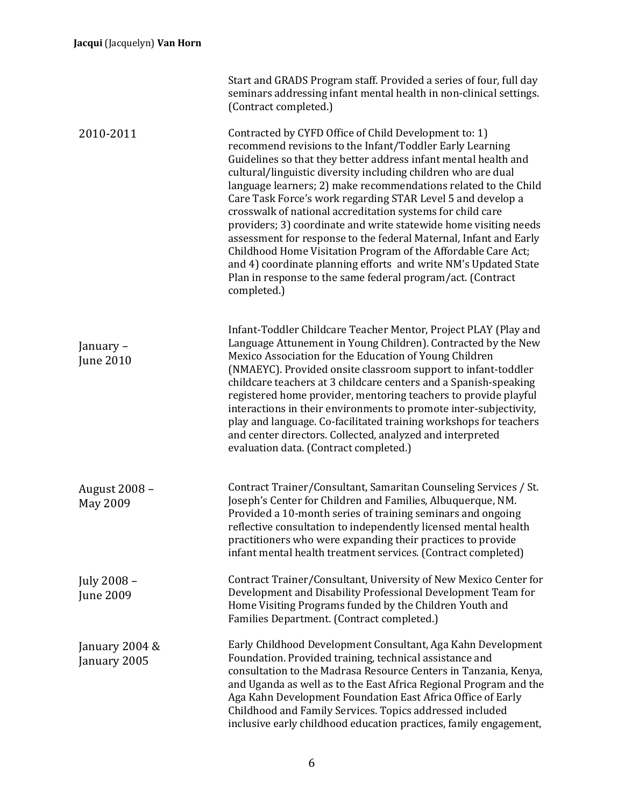|                                  | Start and GRADS Program staff. Provided a series of four, full day<br>seminars addressing infant mental health in non-clinical settings.<br>(Contract completed.)                                                                                                                                                                                                                                                                                                                                                                                                                                                                                                                                                                                                                                                |
|----------------------------------|------------------------------------------------------------------------------------------------------------------------------------------------------------------------------------------------------------------------------------------------------------------------------------------------------------------------------------------------------------------------------------------------------------------------------------------------------------------------------------------------------------------------------------------------------------------------------------------------------------------------------------------------------------------------------------------------------------------------------------------------------------------------------------------------------------------|
| 2010-2011                        | Contracted by CYFD Office of Child Development to: 1)<br>recommend revisions to the Infant/Toddler Early Learning<br>Guidelines so that they better address infant mental health and<br>cultural/linguistic diversity including children who are dual<br>language learners; 2) make recommendations related to the Child<br>Care Task Force's work regarding STAR Level 5 and develop a<br>crosswalk of national accreditation systems for child care<br>providers; 3) coordinate and write statewide home visiting needs<br>assessment for response to the federal Maternal, Infant and Early<br>Childhood Home Visitation Program of the Affordable Care Act;<br>and 4) coordinate planning efforts and write NM's Updated State<br>Plan in response to the same federal program/act. (Contract<br>completed.) |
| January -<br><b>June 2010</b>    | Infant-Toddler Childcare Teacher Mentor, Project PLAY (Play and<br>Language Attunement in Young Children). Contracted by the New<br>Mexico Association for the Education of Young Children<br>(NMAEYC). Provided onsite classroom support to infant-toddler<br>childcare teachers at 3 childcare centers and a Spanish-speaking<br>registered home provider, mentoring teachers to provide playful<br>interactions in their environments to promote inter-subjectivity,<br>play and language. Co-facilitated training workshops for teachers<br>and center directors. Collected, analyzed and interpreted<br>evaluation data. (Contract completed.)                                                                                                                                                              |
| August 2008 -<br><b>May 2009</b> | Contract Trainer/Consultant, Samaritan Counseling Services / St.<br>Joseph's Center for Children and Families, Albuquerque, NM.<br>Provided a 10-month series of training seminars and ongoing<br>reflective consultation to independently licensed mental health<br>practitioners who were expanding their practices to provide<br>infant mental health treatment services. (Contract completed)                                                                                                                                                                                                                                                                                                                                                                                                                |
| July 2008 -<br>June 2009         | Contract Trainer/Consultant, University of New Mexico Center for<br>Development and Disability Professional Development Team for<br>Home Visiting Programs funded by the Children Youth and<br>Families Department. (Contract completed.)                                                                                                                                                                                                                                                                                                                                                                                                                                                                                                                                                                        |
| January 2004 &<br>January 2005   | Early Childhood Development Consultant, Aga Kahn Development<br>Foundation. Provided training, technical assistance and<br>consultation to the Madrasa Resource Centers in Tanzania, Kenya,<br>and Uganda as well as to the East Africa Regional Program and the<br>Aga Kahn Development Foundation East Africa Office of Early<br>Childhood and Family Services. Topics addressed included<br>inclusive early childhood education practices, family engagement,                                                                                                                                                                                                                                                                                                                                                 |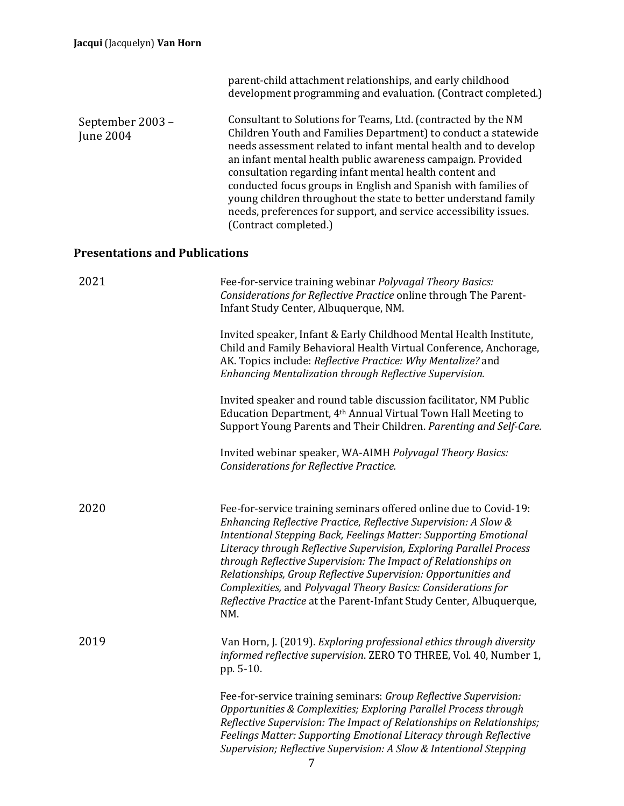|                                       | parent-child attachment relationships, and early childhood<br>development programming and evaluation. (Contract completed.)                                                                                                                                                                                                                                                                                                                                                                                                                                        |
|---------------------------------------|--------------------------------------------------------------------------------------------------------------------------------------------------------------------------------------------------------------------------------------------------------------------------------------------------------------------------------------------------------------------------------------------------------------------------------------------------------------------------------------------------------------------------------------------------------------------|
| September 2003 -<br><b>June 2004</b>  | Consultant to Solutions for Teams, Ltd. (contracted by the NM<br>Children Youth and Families Department) to conduct a statewide<br>needs assessment related to infant mental health and to develop<br>an infant mental health public awareness campaign. Provided<br>consultation regarding infant mental health content and<br>conducted focus groups in English and Spanish with families of<br>young children throughout the state to better understand family<br>needs, preferences for support, and service accessibility issues.<br>(Contract completed.)    |
| <b>Presentations and Publications</b> |                                                                                                                                                                                                                                                                                                                                                                                                                                                                                                                                                                    |
| 2021                                  | Fee-for-service training webinar Polyvagal Theory Basics:<br>Considerations for Reflective Practice online through The Parent-<br>Infant Study Center, Albuquerque, NM.                                                                                                                                                                                                                                                                                                                                                                                            |
|                                       | Invited speaker, Infant & Early Childhood Mental Health Institute,<br>Child and Family Behavioral Health Virtual Conference, Anchorage,<br>AK. Topics include: Reflective Practice: Why Mentalize? and<br>Enhancing Mentalization through Reflective Supervision.                                                                                                                                                                                                                                                                                                  |
|                                       | Invited speaker and round table discussion facilitator, NM Public<br>Education Department, 4 <sup>th</sup> Annual Virtual Town Hall Meeting to<br>Support Young Parents and Their Children. Parenting and Self-Care.                                                                                                                                                                                                                                                                                                                                               |
|                                       | Invited webinar speaker, WA-AIMH Polyvagal Theory Basics:<br>Considerations for Reflective Practice.                                                                                                                                                                                                                                                                                                                                                                                                                                                               |
| 2020                                  | Fee-for-service training seminars offered online due to Covid-19:<br>Enhancing Reflective Practice, Reflective Supervision: A Slow &<br>Intentional Stepping Back, Feelings Matter: Supporting Emotional<br>Literacy through Reflective Supervision, Exploring Parallel Process<br>through Reflective Supervision: The Impact of Relationships on<br>Relationships, Group Reflective Supervision: Opportunities and<br>Complexities, and Polyvagal Theory Basics: Considerations for<br>Reflective Practice at the Parent-Infant Study Center, Albuquerque,<br>NM. |
| 2019                                  | Van Horn, J. (2019). Exploring professional ethics through diversity<br>informed reflective supervision. ZERO TO THREE, Vol. 40, Number 1,<br>pp. 5-10.                                                                                                                                                                                                                                                                                                                                                                                                            |
|                                       | Fee-for-service training seminars: Group Reflective Supervision:<br>Opportunities & Complexities; Exploring Parallel Process through<br>Reflective Supervision: The Impact of Relationships on Relationships;<br>Feelings Matter: Supporting Emotional Literacy through Reflective<br>Supervision; Reflective Supervision: A Slow & Intentional Stepping                                                                                                                                                                                                           |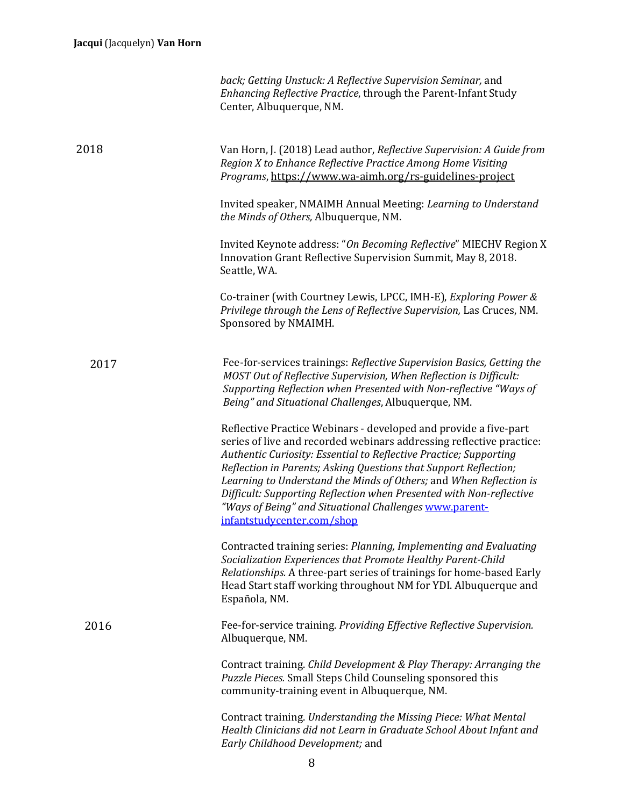|      | back; Getting Unstuck: A Reflective Supervision Seminar, and<br>Enhancing Reflective Practice, through the Parent-Infant Study<br>Center, Albuquerque, NM.                                                                                                                                                                                                                                                                                                                                                             |
|------|------------------------------------------------------------------------------------------------------------------------------------------------------------------------------------------------------------------------------------------------------------------------------------------------------------------------------------------------------------------------------------------------------------------------------------------------------------------------------------------------------------------------|
| 2018 | Van Horn, J. (2018) Lead author, Reflective Supervision: A Guide from<br>Region X to Enhance Reflective Practice Among Home Visiting<br>Programs, https://www.wa-aimh.org/rs-guidelines-project                                                                                                                                                                                                                                                                                                                        |
|      | Invited speaker, NMAIMH Annual Meeting: Learning to Understand<br>the Minds of Others, Albuquerque, NM.                                                                                                                                                                                                                                                                                                                                                                                                                |
|      | Invited Keynote address: "On Becoming Reflective" MIECHV Region X<br>Innovation Grant Reflective Supervision Summit, May 8, 2018.<br>Seattle, WA.                                                                                                                                                                                                                                                                                                                                                                      |
|      | Co-trainer (with Courtney Lewis, LPCC, IMH-E), Exploring Power &<br>Privilege through the Lens of Reflective Supervision, Las Cruces, NM.<br>Sponsored by NMAIMH.                                                                                                                                                                                                                                                                                                                                                      |
| 2017 | Fee-for-services trainings: Reflective Supervision Basics, Getting the<br>MOST Out of Reflective Supervision, When Reflection is Difficult:<br>Supporting Reflection when Presented with Non-reflective "Ways of<br>Being" and Situational Challenges, Albuquerque, NM.                                                                                                                                                                                                                                                |
|      | Reflective Practice Webinars - developed and provide a five-part<br>series of live and recorded webinars addressing reflective practice:<br>Authentic Curiosity: Essential to Reflective Practice; Supporting<br>Reflection in Parents; Asking Questions that Support Reflection;<br>Learning to Understand the Minds of Others; and When Reflection is<br>Difficult: Supporting Reflection when Presented with Non-reflective<br>"Ways of Being" and Situational Challenges www.parent-<br>infantstudycenter.com/shop |
|      | Contracted training series: Planning, Implementing and Evaluating<br>Socialization Experiences that Promote Healthy Parent-Child<br>Relationships. A three-part series of trainings for home-based Early<br>Head Start staff working throughout NM for YDI. Albuquerque and<br>Española, NM.                                                                                                                                                                                                                           |
| 2016 | Fee-for-service training. Providing Effective Reflective Supervision.<br>Albuquerque, NM.                                                                                                                                                                                                                                                                                                                                                                                                                              |
|      | Contract training. Child Development & Play Therapy: Arranging the<br>Puzzle Pieces. Small Steps Child Counseling sponsored this<br>community-training event in Albuquerque, NM.                                                                                                                                                                                                                                                                                                                                       |
|      | Contract training. Understanding the Missing Piece: What Mental<br>Health Clinicians did not Learn in Graduate School About Infant and<br>Early Childhood Development; and                                                                                                                                                                                                                                                                                                                                             |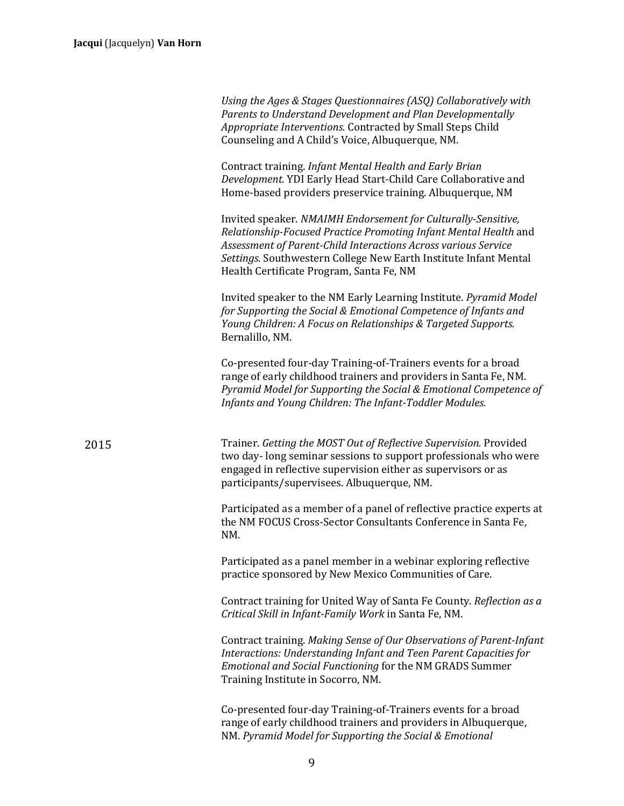| Using the Ages & Stages Questionnaires (ASQ) Collaboratively with |
|-------------------------------------------------------------------|
| Parents to Understand Development and Plan Developmentally        |
| <i>Appropriate Interventions.</i> Contracted by Small Steps Child |
| Counseling and A Child's Voice, Albuquerque, NM.                  |

Contract training. *Infant Mental Health and Early Brian* Development. YDI Early Head Start-Child Care Collaborative and Home-based providers preservice training. Albuquerque, NM

Invited speaker. *NMAIMH Endorsement for Culturally-Sensitive*, *Relationship-Focused Practice Promoting Infant Mental Health* and Assessment of Parent-Child Interactions Across various Service *Settings.* Southwestern College New Earth Institute Infant Mental Health Certificate Program, Santa Fe, NM

Invited speaker to the NM Early Learning Institute. *Pyramid Model for Supporting the Social & Emotional Competence of Infants and Young Children: A Focus on Relationships & Targeted Supports.* Bernalillo, NM.

Co-presented four-day Training-of-Trainers events for a broad range of early childhood trainers and providers in Santa Fe, NM. *Pyramid Model for Supporting the Social & Emotional Competence of Infants and Young Children: The Infant-Toddler Modules.* 

2015 **Trainer.** Getting the MOST Out of Reflective Supervision. Provided two day-long seminar sessions to support professionals who were engaged in reflective supervision either as supervisors or as participants/supervisees. Albuquerque, NM.

> Participated as a member of a panel of reflective practice experts at the NM FOCUS Cross-Sector Consultants Conference in Santa Fe, NM.

Participated as a panel member in a webinar exploring reflective practice sponsored by New Mexico Communities of Care.

Contract training for United Way of Santa Fe County. *Reflection as a Critical Skill in Infant-Family Work* in Santa Fe, NM.

Contract training. *Making Sense of Our Observations of Parent-Infant Interactions: Understanding Infant and Teen Parent Capacities for Emotional and Social Functioning* for the NM GRADS Summer Training Institute in Socorro, NM.

Co-presented four-day Training-of-Trainers events for a broad range of early childhood trainers and providers in Albuquerque, NM. Pyramid Model for Supporting the Social & Emotional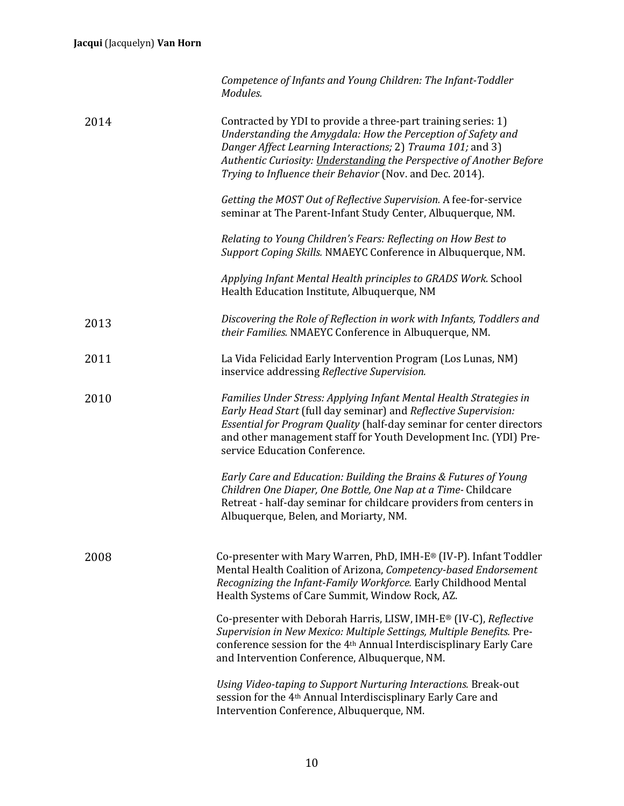|      | Competence of Infants and Young Children: The Infant-Toddler<br>Modules.                                                                                                                                                                                                                                                        |
|------|---------------------------------------------------------------------------------------------------------------------------------------------------------------------------------------------------------------------------------------------------------------------------------------------------------------------------------|
| 2014 | Contracted by YDI to provide a three-part training series: 1)<br>Understanding the Amygdala: How the Perception of Safety and<br>Danger Affect Learning Interactions; 2) Trauma 101; and 3)<br>Authentic Curiosity: Understanding the Perspective of Another Before<br>Trying to Influence their Behavior (Nov. and Dec. 2014). |
|      | Getting the MOST Out of Reflective Supervision. A fee-for-service<br>seminar at The Parent-Infant Study Center, Albuquerque, NM.                                                                                                                                                                                                |
|      | Relating to Young Children's Fears: Reflecting on How Best to<br>Support Coping Skills. NMAEYC Conference in Albuquerque, NM.                                                                                                                                                                                                   |
|      | Applying Infant Mental Health principles to GRADS Work. School<br>Health Education Institute, Albuquerque, NM                                                                                                                                                                                                                   |
| 2013 | Discovering the Role of Reflection in work with Infants, Toddlers and<br>their Families. NMAEYC Conference in Albuquerque, NM.                                                                                                                                                                                                  |
| 2011 | La Vida Felicidad Early Intervention Program (Los Lunas, NM)<br>inservice addressing Reflective Supervision.                                                                                                                                                                                                                    |
| 2010 | Families Under Stress: Applying Infant Mental Health Strategies in<br>Early Head Start (full day seminar) and Reflective Supervision:<br>Essential for Program Quality (half-day seminar for center directors<br>and other management staff for Youth Development Inc. (YDI) Pre-<br>service Education Conference.              |
|      | Early Care and Education: Building the Brains & Futures of Young<br>Children One Diaper, One Bottle, One Nap at a Time- Childcare<br>Retreat - half-day seminar for childcare providers from centers in<br>Albuquerque, Belen, and Moriarty, NM.                                                                                |
| 2008 | Co-presenter with Mary Warren, PhD, IMH-E® (IV-P). Infant Toddler<br>Mental Health Coalition of Arizona, Competency-based Endorsement<br>Recognizing the Infant-Family Workforce. Early Childhood Mental<br>Health Systems of Care Summit, Window Rock, AZ.                                                                     |
|      | Co-presenter with Deborah Harris, LISW, IMH-E® (IV-C), Reflective<br>Supervision in New Mexico: Multiple Settings, Multiple Benefits. Pre-<br>conference session for the 4 <sup>th</sup> Annual Interdiscisplinary Early Care<br>and Intervention Conference, Albuquerque, NM.                                                  |
|      | Using Video-taping to Support Nurturing Interactions. Break-out<br>session for the 4 <sup>th</sup> Annual Interdiscisplinary Early Care and<br>Intervention Conference, Albuquerque, NM.                                                                                                                                        |